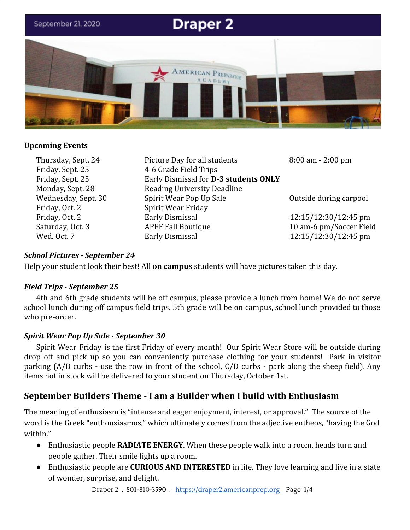

## **Upcoming Events**

Friday, Sept. 25 4-6 Grade Field Trips Friday, Oct. 2 Spirit Wear Friday

Thursday, Sept. 24 Picture Day for all students 8:00 am - 2:00 pm Friday, Sept. 25 Early Dismissal for **D-3 students ONLY** Monday, Sept. 28 Reading University Deadline Wednesday, Sept. 30 Spirit Wear Pop Up Sale Outside during carpool Friday, Oct. 2 **Early Dismissal** 12:15/12:30/12:45 pm Saturday, Oct. 3 APEF Fall Boutique 10 am-6 pm/Soccer Field Wed. 0ct. 7 **Early Dismissal** 12:15/12:30/12:45 pm

# *School Pictures - September 24*

Help your student look their best! All **on campus** students will have pictures taken this day.

# *Field Trips - September 25*

4th and 6th grade students will be off campus, please provide a lunch from home! We do not serve school lunch during off campus field trips. 5th grade will be on campus, school lunch provided to those who pre-order.

# *Spirit Wear Pop Up Sale - September 30*

Spirit Wear Friday is the first Friday of every month! Our Spirit Wear Store will be outside during drop off and pick up so you can conveniently purchase clothing for your students! Park in visitor parking (A/B curbs - use the row in front of the school, C/D curbs - park along the sheep field). Any items not in stock will be delivered to your student on Thursday, October 1st.

# **September Builders Theme - I am a Builder when I build with Enthusiasm**

The meaning of enthusiasm is "intense and eager enjoyment, interest, or approval." The source of the word is the Greek "enthousiasmos," which ultimately comes from the adjective entheos, "having the God within."

- Enthusiastic people **RADIATE ENERGY**. When these people walk into a room, heads turn and people gather. Their smile lights up a room.
- Enthusiastic people are **CURIOUS AND INTERESTED** in life. They love learning and live in a state of wonder, surprise, and delight.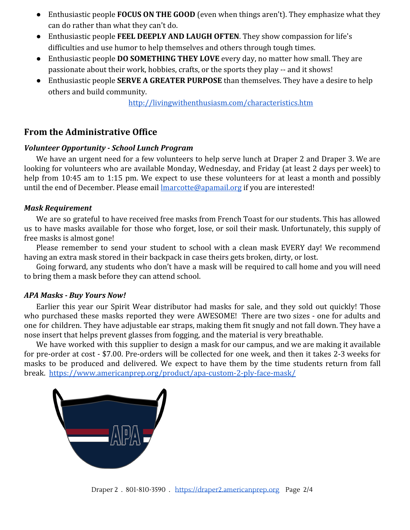- Enthusiastic people **FOCUS ON THE GOOD** (even when things aren't). They emphasize what they can do rather than what they can't do.
- Enthusiastic people **FEEL DEEPLY AND LAUGH OFTEN**. They show compassion for life's difficulties and use humor to help themselves and others through tough times.
- Enthusiastic people **DO SOMETHING THEY LOVE** every day, no matter how small. They are passionate about their work, hobbies, crafts, or the sports they play -- and it shows!
- Enthusiastic people **SERVE A GREATER PURPOSE** than themselves. They have a desire to help others and build community.

<http://livingwithenthusiasm.com/characteristics.htm>

# **From the Administrative Office**

### *Volunteer Opportunity - School Lunch Program*

We have an urgent need for a few volunteers to help serve lunch at Draper 2 and Draper 3. We are looking for volunteers who are available Monday, Wednesday, and Friday (at least 2 days per week) to help from 10:45 am to 1:15 pm. We expect to use these volunteers for at least a month and possibly until the end of December. Please email **Imarcotte@apamail.org** if you are interested!

### *Mask Requirement*

We are so grateful to have received free masks from French Toast for our students. This has allowed us to have masks available for those who forget, lose, or soil their mask. Unfortunately, this supply of free masks is almost gone!

Please remember to send your student to school with a clean mask EVERY day! We recommend having an extra mask stored in their backpack in case theirs gets broken, dirty, or lost.

Going forward, any students who don't have a mask will be required to call home and you will need to bring them a mask before they can attend school.

#### *APA Masks - Buy Yours Now!*

Earlier this year our Spirit Wear distributor had masks for sale, and they sold out quickly! Those who purchased these masks reported they were AWESOME! There are two sizes - one for adults and one for children. They have adjustable ear straps, making them fit snugly and not fall down. They have a nose insert that helps prevent glasses from fogging, and the material is very breathable.

We have worked with this supplier to design a mask for our campus, and we are making it available for pre-order at cost - \$7.00. Pre-orders will be collected for one week, and then it takes 2-3 weeks for masks to be produced and delivered. We expect to have them by the time students return from fall break. <https://www.americanprep.org/product/apa-custom-2-ply-face-mask/>

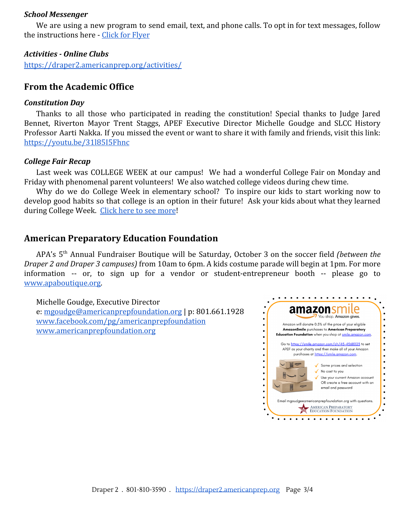#### *School Messenger*

We are using a new program to send email, text, and phone calls. To opt in for text messages, follow the instructions here - [Click for Flyer](https://draper2.americanprep.org/wp-content/uploads/sites/3/2020/09/9.21.20-School-Messenger-SMS-Opt-In-Flyer.pdf)

## *Activities - Online Clubs*

<https://draper2.americanprep.org/activities/>

# **From the Academic Office**

### *Constitution Day*

Thanks to all those who participated in reading the constitution! Special thanks to Judge Jared Bennet, Riverton Mayor Trent Staggs, APEF Executive Director Michelle Goudge and SLCC History Professor Aarti Nakka. If you missed the event or want to share it with family and friends, visit this link: <https://youtu.be/31l85I5Fhnc>

## *College Fair Recap*

Last week was COLLEGE WEEK at our campus! We had a wonderful College Fair on Monday and Friday with phenomenal parent volunteers! We also watched college videos during chew time.

Why do we do College Week in elementary school? To inspire our kids to start working now to develop good habits so that college is an option in their future! Ask your kids about what they learned during College Week. [Click here to see more](https://draper2.americanprep.org/college-week/)!

# **American Preparatory Education Foundation**

APA's 5 th Annual Fundraiser Boutique will be Saturday, October 3 on the soccer field *(between the Draper 2 and Draper 3 campuses)* from 10am to 6pm. A kids costume parade will begin at 1pm. For more information -- or, to sign up for a vendor or student-entrepreneur booth -- please go to [www.apaboutique.org.](http://www.apaboutique.org/)

Michelle Goudge, Executive Director

e: [mgoudge@americanprepfoundation.org](mailto:mgoudge@americanprepfoundation.org) | p: 801.661.1928 [www.facebook.com/pg/americanprepfoundation](http://www.facebook.com/pg/americanprepfoundation) [www.americanprepfoundation.org](http://www.americanprepfoundation.org/)